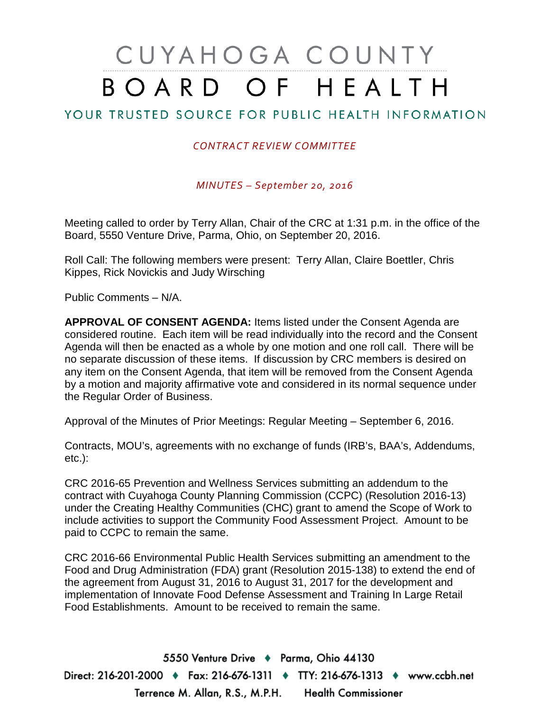# CUYAHOGA COUNTY BOARD OF HEALTH

#### YOUR TRUSTED SOURCE FOR PUBLIC HEALTH INFORMATION

#### *CONTRACT REVIEW COMMITTEE*

*MINUTES – September 20, 2016*

Meeting called to order by Terry Allan, Chair of the CRC at 1:31 p.m. in the office of the Board, 5550 Venture Drive, Parma, Ohio, on September 20, 2016.

Roll Call: The following members were present: Terry Allan, Claire Boettler, Chris Kippes, Rick Novickis and Judy Wirsching

Public Comments – N/A.

**APPROVAL OF CONSENT AGENDA:** Items listed under the Consent Agenda are considered routine. Each item will be read individually into the record and the Consent Agenda will then be enacted as a whole by one motion and one roll call. There will be no separate discussion of these items. If discussion by CRC members is desired on any item on the Consent Agenda, that item will be removed from the Consent Agenda by a motion and majority affirmative vote and considered in its normal sequence under the Regular Order of Business.

Approval of the Minutes of Prior Meetings: Regular Meeting – September 6, 2016.

Contracts, MOU's, agreements with no exchange of funds (IRB's, BAA's, Addendums, etc.):

CRC 2016-65 Prevention and Wellness Services submitting an addendum to the contract with Cuyahoga County Planning Commission (CCPC) (Resolution 2016-13) under the Creating Healthy Communities (CHC) grant to amend the Scope of Work to include activities to support the Community Food Assessment Project. Amount to be paid to CCPC to remain the same.

CRC 2016-66 Environmental Public Health Services submitting an amendment to the Food and Drug Administration (FDA) grant (Resolution 2015-138) to extend the end of the agreement from August 31, 2016 to August 31, 2017 for the development and implementation of Innovate Food Defense Assessment and Training In Large Retail Food Establishments. Amount to be received to remain the same.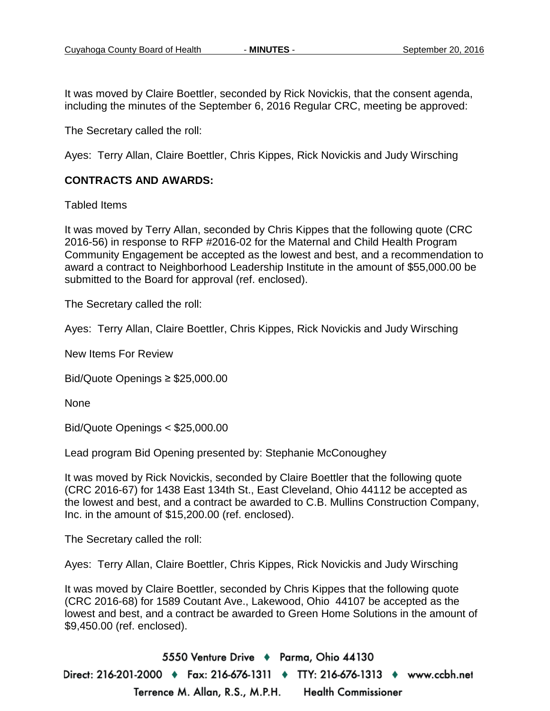It was moved by Claire Boettler, seconded by Rick Novickis, that the consent agenda, including the minutes of the September 6, 2016 Regular CRC, meeting be approved:

The Secretary called the roll:

Ayes: Terry Allan, Claire Boettler, Chris Kippes, Rick Novickis and Judy Wirsching

#### **CONTRACTS AND AWARDS:**

Tabled Items

It was moved by Terry Allan, seconded by Chris Kippes that the following quote (CRC 2016-56) in response to RFP #2016-02 for the Maternal and Child Health Program Community Engagement be accepted as the lowest and best, and a recommendation to award a contract to Neighborhood Leadership Institute in the amount of \$55,000.00 be submitted to the Board for approval (ref. enclosed).

The Secretary called the roll:

Ayes: Terry Allan, Claire Boettler, Chris Kippes, Rick Novickis and Judy Wirsching

New Items For Review

Bid/Quote Openings ≥ \$25,000.00

None

Bid/Quote Openings < \$25,000.00

Lead program Bid Opening presented by: Stephanie McConoughey

It was moved by Rick Novickis, seconded by Claire Boettler that the following quote (CRC 2016-67) for 1438 East 134th St., East Cleveland, Ohio 44112 be accepted as the lowest and best, and a contract be awarded to C.B. Mullins Construction Company, Inc. in the amount of \$15,200.00 (ref. enclosed).

The Secretary called the roll:

Ayes: Terry Allan, Claire Boettler, Chris Kippes, Rick Novickis and Judy Wirsching

It was moved by Claire Boettler, seconded by Chris Kippes that the following quote (CRC 2016-68) for 1589 Coutant Ave., Lakewood, Ohio 44107 be accepted as the lowest and best, and a contract be awarded to Green Home Solutions in the amount of \$9,450.00 (ref. enclosed).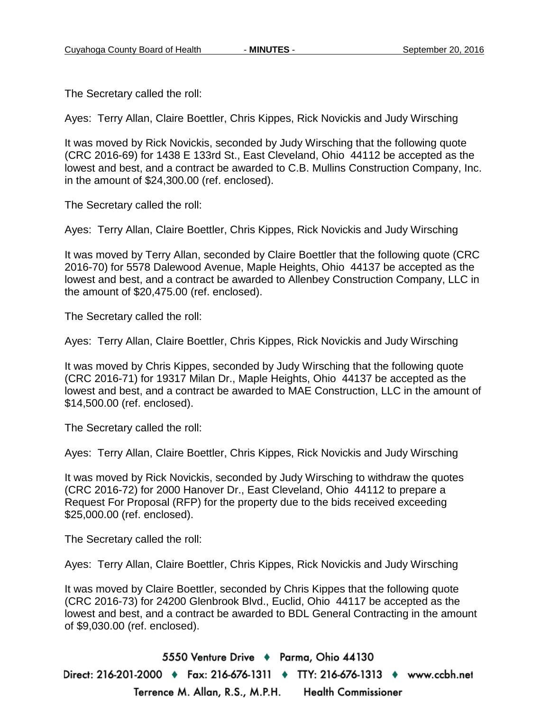The Secretary called the roll:

Ayes: Terry Allan, Claire Boettler, Chris Kippes, Rick Novickis and Judy Wirsching

It was moved by Rick Novickis, seconded by Judy Wirsching that the following quote (CRC 2016-69) for 1438 E 133rd St., East Cleveland, Ohio 44112 be accepted as the lowest and best, and a contract be awarded to C.B. Mullins Construction Company, Inc. in the amount of \$24,300.00 (ref. enclosed).

The Secretary called the roll:

Ayes: Terry Allan, Claire Boettler, Chris Kippes, Rick Novickis and Judy Wirsching

It was moved by Terry Allan, seconded by Claire Boettler that the following quote (CRC 2016-70) for 5578 Dalewood Avenue, Maple Heights, Ohio 44137 be accepted as the lowest and best, and a contract be awarded to Allenbey Construction Company, LLC in the amount of \$20,475.00 (ref. enclosed).

The Secretary called the roll:

Ayes: Terry Allan, Claire Boettler, Chris Kippes, Rick Novickis and Judy Wirsching

It was moved by Chris Kippes, seconded by Judy Wirsching that the following quote (CRC 2016-71) for 19317 Milan Dr., Maple Heights, Ohio 44137 be accepted as the lowest and best, and a contract be awarded to MAE Construction, LLC in the amount of \$14,500.00 (ref. enclosed).

The Secretary called the roll:

Ayes: Terry Allan, Claire Boettler, Chris Kippes, Rick Novickis and Judy Wirsching

It was moved by Rick Novickis, seconded by Judy Wirsching to withdraw the quotes (CRC 2016-72) for 2000 Hanover Dr., East Cleveland, Ohio 44112 to prepare a Request For Proposal (RFP) for the property due to the bids received exceeding \$25,000.00 (ref. enclosed).

The Secretary called the roll:

Ayes: Terry Allan, Claire Boettler, Chris Kippes, Rick Novickis and Judy Wirsching

It was moved by Claire Boettler, seconded by Chris Kippes that the following quote (CRC 2016-73) for 24200 Glenbrook Blvd., Euclid, Ohio 44117 be accepted as the lowest and best, and a contract be awarded to BDL General Contracting in the amount of \$9,030.00 (ref. enclosed).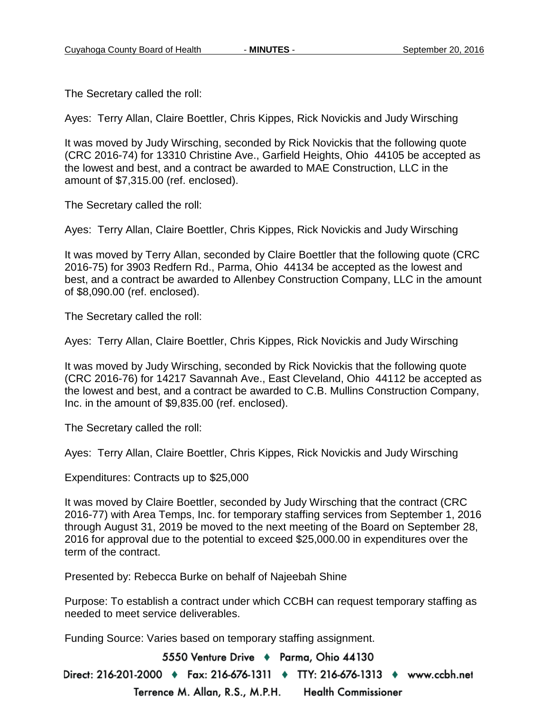The Secretary called the roll:

Ayes: Terry Allan, Claire Boettler, Chris Kippes, Rick Novickis and Judy Wirsching

It was moved by Judy Wirsching, seconded by Rick Novickis that the following quote (CRC 2016-74) for 13310 Christine Ave., Garfield Heights, Ohio 44105 be accepted as the lowest and best, and a contract be awarded to MAE Construction, LLC in the amount of \$7,315.00 (ref. enclosed).

The Secretary called the roll:

Ayes: Terry Allan, Claire Boettler, Chris Kippes, Rick Novickis and Judy Wirsching

It was moved by Terry Allan, seconded by Claire Boettler that the following quote (CRC 2016-75) for 3903 Redfern Rd., Parma, Ohio 44134 be accepted as the lowest and best, and a contract be awarded to Allenbey Construction Company, LLC in the amount of \$8,090.00 (ref. enclosed).

The Secretary called the roll:

Ayes: Terry Allan, Claire Boettler, Chris Kippes, Rick Novickis and Judy Wirsching

It was moved by Judy Wirsching, seconded by Rick Novickis that the following quote (CRC 2016-76) for 14217 Savannah Ave., East Cleveland, Ohio 44112 be accepted as the lowest and best, and a contract be awarded to C.B. Mullins Construction Company, Inc. in the amount of \$9,835.00 (ref. enclosed).

The Secretary called the roll:

Ayes: Terry Allan, Claire Boettler, Chris Kippes, Rick Novickis and Judy Wirsching

Expenditures: Contracts up to \$25,000

It was moved by Claire Boettler, seconded by Judy Wirsching that the contract (CRC 2016-77) with Area Temps, Inc. for temporary staffing services from September 1, 2016 through August 31, 2019 be moved to the next meeting of the Board on September 28, 2016 for approval due to the potential to exceed \$25,000.00 in expenditures over the term of the contract.

Presented by: Rebecca Burke on behalf of Najeebah Shine

Purpose: To establish a contract under which CCBH can request temporary staffing as needed to meet service deliverables.

Funding Source: Varies based on temporary staffing assignment.

5550 Venture Drive + Parma, Ohio 44130

Direct: 216-201-2000 ♦ Fax: 216-676-1311 ♦ TTY: 216-676-1313 ♦ www.ccbh.net Terrence M. Allan, R.S., M.P.H. **Health Commissioner**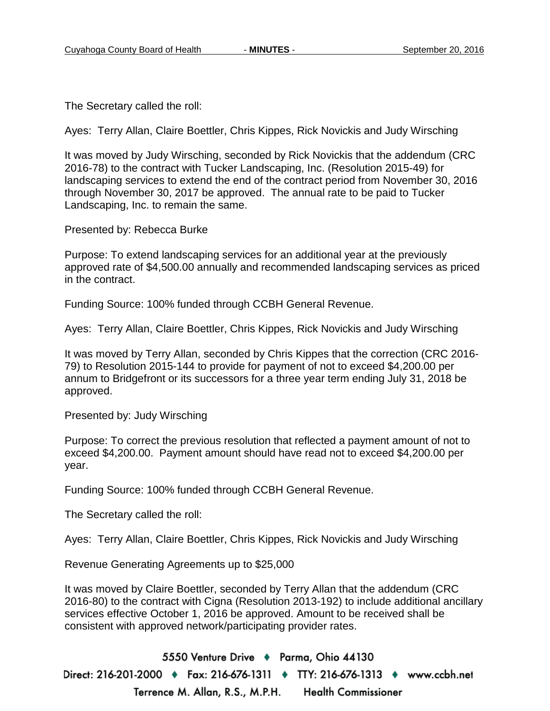The Secretary called the roll:

Ayes: Terry Allan, Claire Boettler, Chris Kippes, Rick Novickis and Judy Wirsching

It was moved by Judy Wirsching, seconded by Rick Novickis that the addendum (CRC 2016-78) to the contract with Tucker Landscaping, Inc. (Resolution 2015-49) for landscaping services to extend the end of the contract period from November 30, 2016 through November 30, 2017 be approved. The annual rate to be paid to Tucker Landscaping, Inc. to remain the same.

Presented by: Rebecca Burke

Purpose: To extend landscaping services for an additional year at the previously approved rate of \$4,500.00 annually and recommended landscaping services as priced in the contract.

Funding Source: 100% funded through CCBH General Revenue.

Ayes: Terry Allan, Claire Boettler, Chris Kippes, Rick Novickis and Judy Wirsching

It was moved by Terry Allan, seconded by Chris Kippes that the correction (CRC 2016- 79) to Resolution 2015-144 to provide for payment of not to exceed \$4,200.00 per annum to Bridgefront or its successors for a three year term ending July 31, 2018 be approved.

Presented by: Judy Wirsching

Purpose: To correct the previous resolution that reflected a payment amount of not to exceed \$4,200.00. Payment amount should have read not to exceed \$4,200.00 per year.

Funding Source: 100% funded through CCBH General Revenue.

The Secretary called the roll:

Ayes: Terry Allan, Claire Boettler, Chris Kippes, Rick Novickis and Judy Wirsching

Revenue Generating Agreements up to \$25,000

It was moved by Claire Boettler, seconded by Terry Allan that the addendum (CRC 2016-80) to the contract with Cigna (Resolution 2013-192) to include additional ancillary services effective October 1, 2016 be approved. Amount to be received shall be consistent with approved network/participating provider rates.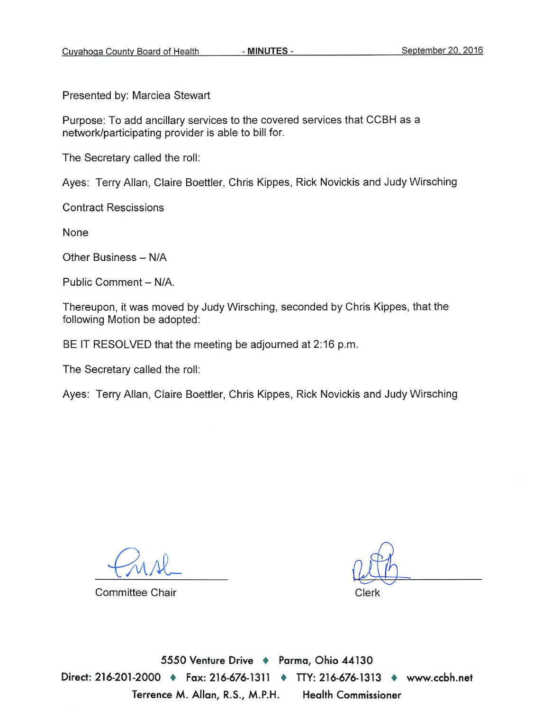Presented by: Marciea Stewart

Purpose: To add ancillary services to the covered services that CCBH as a network/participating provider is able to bill for.

The Secretary called the roll:

Ayes: Terry Allan, Claire Boettler, Chris Kippes, Rick Novickis and Judy Wirsching

**Contract Rescissions** 

None

Other Business - N/A

Public Comment - N/A.

Thereupon, it was moved by Judy Wirsching, seconded by Chris Kippes, that the following Motion be adopted:

BE IT RESOLVED that the meeting be adjourned at 2:16 p.m.

The Secretary called the roll:

Ayes: Terry Allan, Claire Boettler, Chris Kippes, Rick Novickis and Judy Wirsching

**Committee Chair** 

Clerk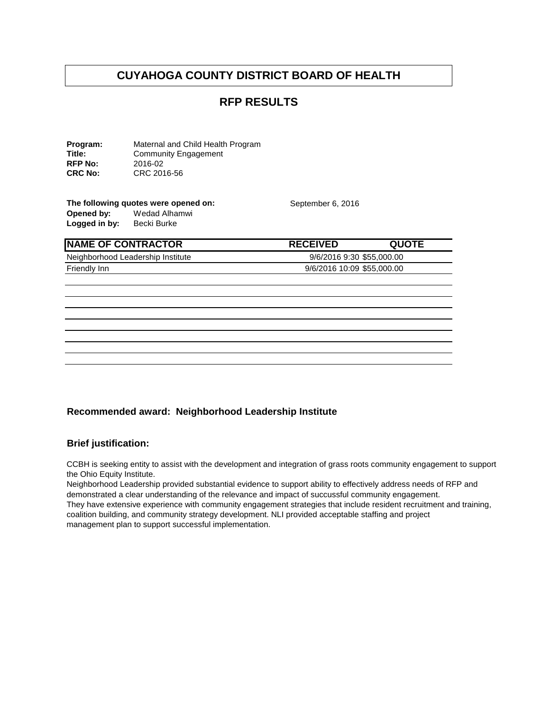#### **RFP RESULTS**

**Program:** Maternal and Child Health Program<br> **Title:** Community Engagement Community Engagement<br>2016-02 **RFP No:**<br>CRC No: **CRC No:** CRC 2016-56

#### **The following quotes were opened on:** September 6, 2016<br> **Opened by:** Wedad Alhamwi Wedad Alhamwi<br>Becki Burke Logged in by:

**NAME OF CONTRACTOR RECEIVED QUOTE** Neighborhood Leadership Institute 9/6/2016 9:30 \$55,000.00 Friendly Inn 9/6/2016 10:09 \$55,000.00

#### **Recommended award: Neighborhood Leadership Institute**

#### **Brief justification:**

CCBH is seeking entity to assist with the development and integration of grass roots community engagement to support the Ohio Equity Institute.

Neighborhood Leadership provided substantial evidence to support ability to effectively address needs of RFP and demonstrated a clear understanding of the relevance and impact of succussful community engagement. They have extensive experience with community engagement strategies that include resident recruitment and training, coalition building, and community strategy development. NLI provided acceptable staffing and project management plan to support successful implementation.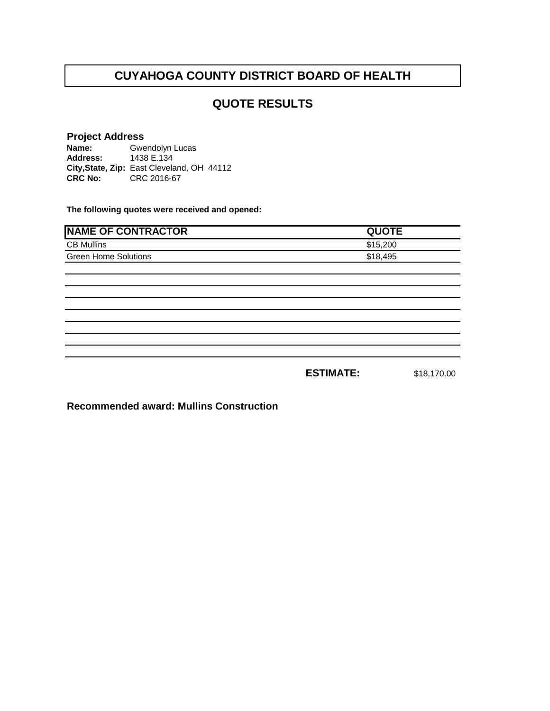#### **QUOTE RESULTS**

#### **Project Address**

**Name: Address: City,State, Zip:** East Cleveland, OH 44112**CRC No:** CRC 2016-67 Gwendolyn Lucas 1438 E.134

**The following quotes were received and opened:**

| <b>NAME OF CONTRACTOR</b>   | <b>QUOTE</b>     |             |
|-----------------------------|------------------|-------------|
|                             |                  |             |
| <b>CB Mullins</b>           | \$15,200         |             |
| <b>Green Home Solutions</b> | \$18,495         |             |
|                             |                  |             |
|                             |                  |             |
|                             |                  |             |
|                             |                  |             |
|                             |                  |             |
|                             |                  |             |
|                             |                  |             |
|                             |                  |             |
|                             | <b>ESTIMATE:</b> | \$18,170.00 |

**Recommended award: Mullins Construction**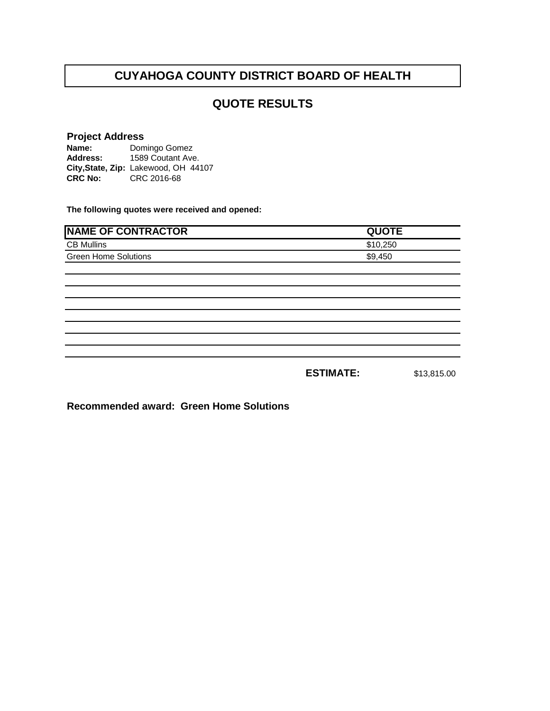#### **QUOTE RESULTS**

## **Project Address**

**Name: Address: City,State, Zip:** Lakewood, OH 44107**CRC No:** CRC 2016-68 Domingo Gomez 1589 Coutant Ave.

**The following quotes were received and opened:**

| <b>NAME OF CONTRACTOR</b>   | <b>QUOTE</b>     |             |
|-----------------------------|------------------|-------------|
| <b>CB Mullins</b>           | \$10,250         |             |
| <b>Green Home Solutions</b> | \$9,450          |             |
|                             |                  |             |
|                             |                  |             |
|                             |                  |             |
|                             |                  |             |
|                             |                  |             |
|                             |                  |             |
|                             |                  |             |
|                             |                  |             |
|                             | <b>ESTIMATE:</b> | \$13,815.00 |

**Recommended award: Green Home Solutions**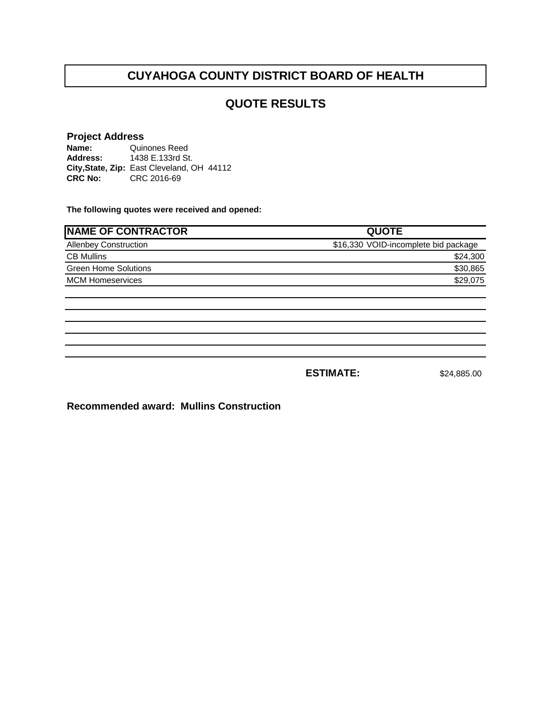#### **QUOTE RESULTS**

#### **Project Address**

**Name: Address: City,State, Zip:** East Cleveland, OH 44112**CRC No:** CRC 2016-69 Quinones Reed 1438 E.133rd St.

**The following quotes were received and opened:**

| <b>NAME OF CONTRACTOR</b>    | <b>QUOTE</b>                         |
|------------------------------|--------------------------------------|
| <b>Allenbey Construction</b> | \$16,330 VOID-incomplete bid package |
| <b>CB Mullins</b>            | \$24,300                             |
| <b>Green Home Solutions</b>  | \$30,865                             |
| <b>MCM Homeservices</b>      | \$29,075                             |
|                              |                                      |

**ESTIMATE:** \$24,885.00

**Recommended award: Mullins Construction**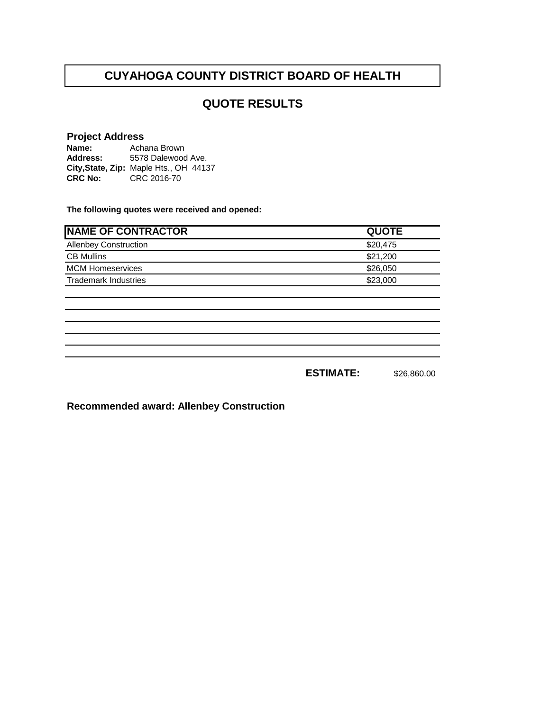#### **QUOTE RESULTS**

#### **Project Address**

**Name: Address: City,State, Zip:** Maple Hts., OH 44137**CRC No:** CRC 2016-70 Achana Brown 5578 Dalewood Ave.

**The following quotes were received and opened:**

| <b>NAME OF CONTRACTOR</b>    | <b>QUOTE</b> |
|------------------------------|--------------|
| <b>Allenbey Construction</b> | \$20,475     |
| <b>CB Mullins</b>            | \$21,200     |
| <b>MCM Homeservices</b>      | \$26,050     |
| <b>Trademark Industries</b>  | \$23,000     |
|                              |              |
|                              |              |
|                              |              |
|                              |              |
|                              |              |
|                              |              |
|                              |              |

**ESTIMATE:** \$26,860.00

**Recommended award: Allenbey Construction**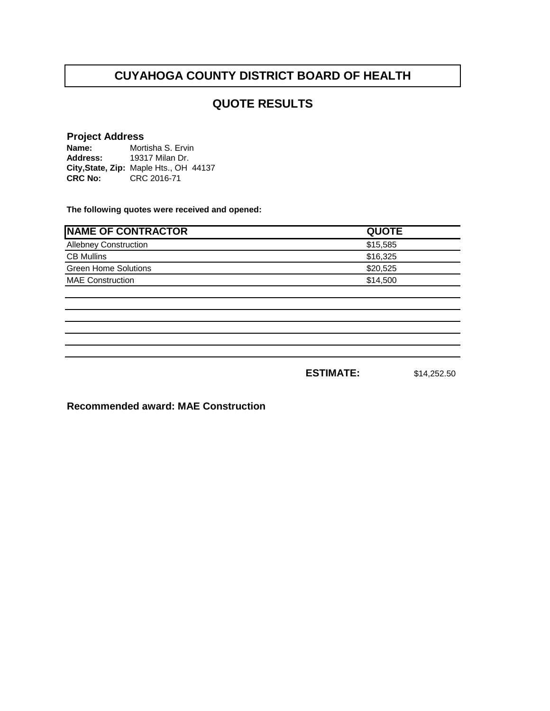#### **QUOTE RESULTS**

#### **Project Address**

**Name: Address: City,State, Zip:** Maple Hts., OH 44137**CRC No:** CRC 2016-71 Mortisha S. Ervin 19317 Milan Dr.

**The following quotes were received and opened:**

| <b>NAME OF CONTRACTOR</b>    | <b>QUOTE</b> |
|------------------------------|--------------|
| <b>Allebney Construction</b> | \$15,585     |
| <b>CB Mullins</b>            | \$16,325     |
| <b>Green Home Solutions</b>  | \$20,525     |
| <b>MAE Construction</b>      | \$14,500     |
|                              |              |
|                              |              |
|                              |              |

**ESTIMATE:** \$14,252.50

**Recommended award: MAE Construction**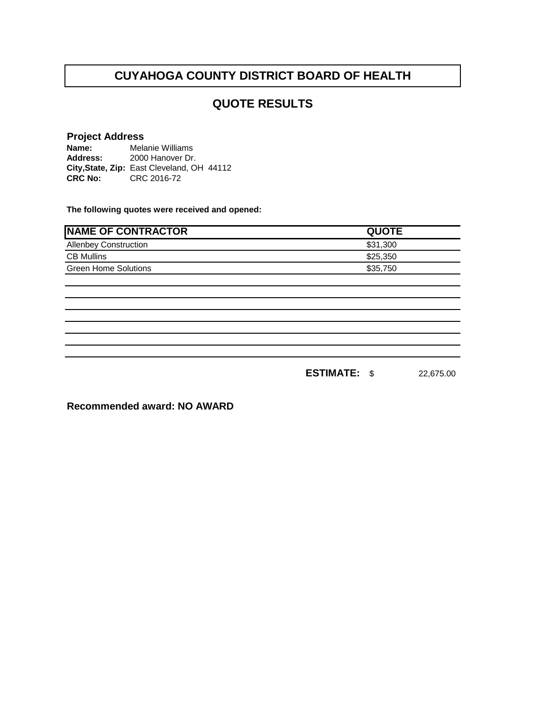#### **QUOTE RESULTS**

#### **Project Address**

**Name: Address: City,State, Zip:** East Cleveland, OH 44112**CRC No:** CRC 2016-72 Melanie Williams 2000 Hanover Dr.

**The following quotes were received and opened:**

| <b>NAME OF CONTRACTOR</b>    | <b>QUOTE</b> |
|------------------------------|--------------|
| <b>Allenbey Construction</b> | \$31,300     |
| <b>CB Mullins</b>            | \$25,350     |
| <b>Green Home Solutions</b>  | \$35,750     |
|                              |              |
|                              |              |
|                              |              |
|                              |              |
|                              |              |
|                              |              |
|                              |              |

**ESTIMATE:** \$ 22,675.00

**Recommended award: NO AWARD**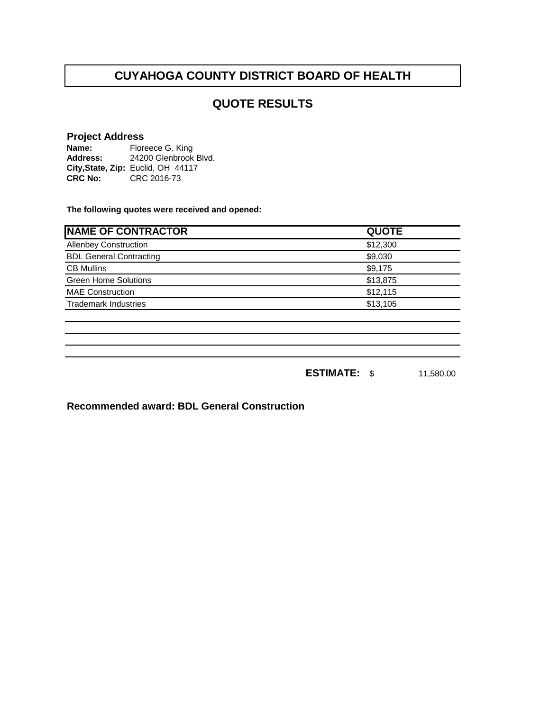#### **QUOTE RESULTS**

**Project Address<br>Name:** Floreece G. King **Name: Address: City,State, Zip:** Euclid, OH 44117**CRC No:** CRC 2016-73 Floreece G. King 24200 Glenbrook Blvd.

**The following quotes were received and opened:**

| <b>NAME OF CONTRACTOR</b>      | <b>QUOTE</b> |
|--------------------------------|--------------|
| <b>Allenbey Construction</b>   | \$12,300     |
| <b>BDL General Contracting</b> | \$9,030      |
| <b>CB Mullins</b>              | \$9,175      |
| <b>Green Home Solutions</b>    | \$13,875     |
| <b>MAE Construction</b>        | \$12,115     |
| <b>Trademark Industries</b>    | \$13,105     |
|                                |              |
|                                |              |
|                                |              |
|                                |              |

**ESTIMATE:** \$ 11,580.00

**Recommended award: BDL General Construction**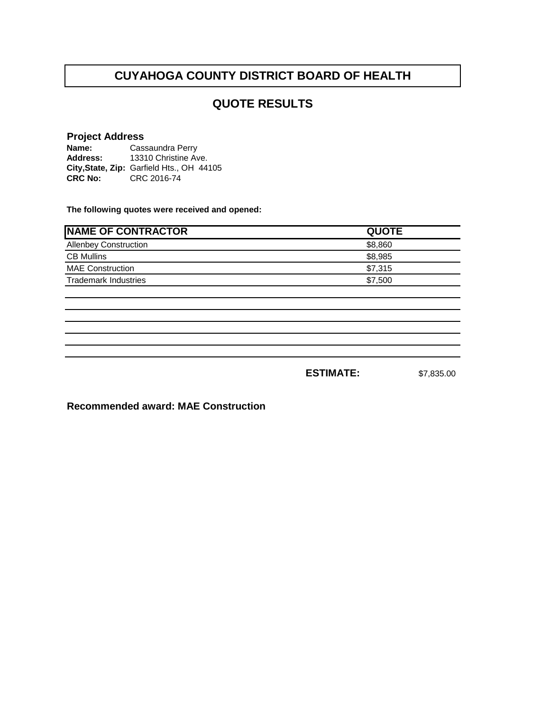#### **QUOTE RESULTS**

#### **Project Address**

| Name:          | Cassaundra Perry                          |  |  |
|----------------|-------------------------------------------|--|--|
| Address:       | 13310 Christine Ave.                      |  |  |
|                | City, State, Zip: Garfield Hts., OH 44105 |  |  |
| <b>CRC No:</b> | CRC 2016-74                               |  |  |

**The following quotes were received and opened:**

| <b>NAME OF CONTRACTOR</b>    | <b>QUOTE</b> |
|------------------------------|--------------|
| <b>Allenbey Construction</b> | \$8,860      |
| <b>CB Mullins</b>            | \$8,985      |
| <b>MAE Construction</b>      | \$7,315      |
| <b>Trademark Industries</b>  | \$7,500      |
|                              |              |
|                              |              |
|                              |              |
|                              |              |

**ESTIMATE:** \$7,835.00

**Recommended award: MAE Construction**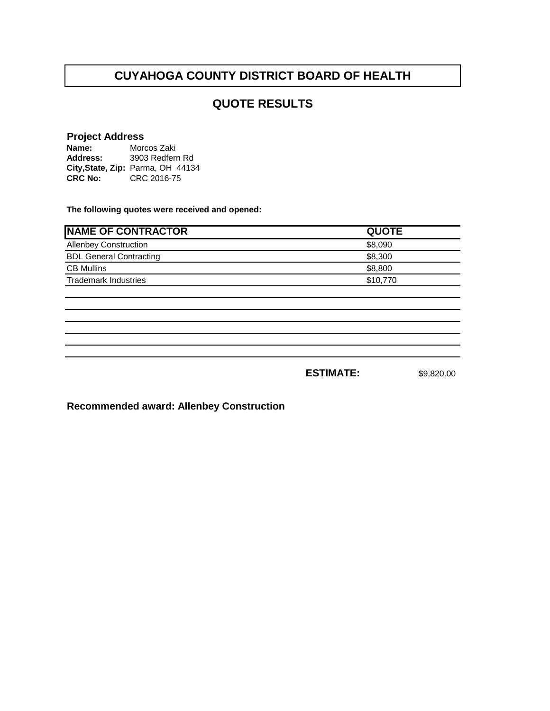#### **QUOTE RESULTS**

#### **Project Address**

**Name: Address: City,State, Zip:** Parma, OH 44134**CRC No:** CRC 2016-75 Morcos Zaki 3903 Redfern Rd

**The following quotes were received and opened:**

| <b>NAME OF CONTRACTOR</b>      | <b>QUOTE</b>     |            |
|--------------------------------|------------------|------------|
| <b>Allenbey Construction</b>   | \$8,090          |            |
| <b>BDL General Contracting</b> | \$8,300          |            |
| <b>CB Mullins</b>              | \$8,800          |            |
| <b>Trademark Industries</b>    | \$10,770         |            |
|                                |                  |            |
|                                |                  |            |
|                                |                  |            |
|                                |                  |            |
|                                |                  |            |
|                                | <b>ESTIMATE:</b> | \$9,820.00 |

**Recommended award: Allenbey Construction**